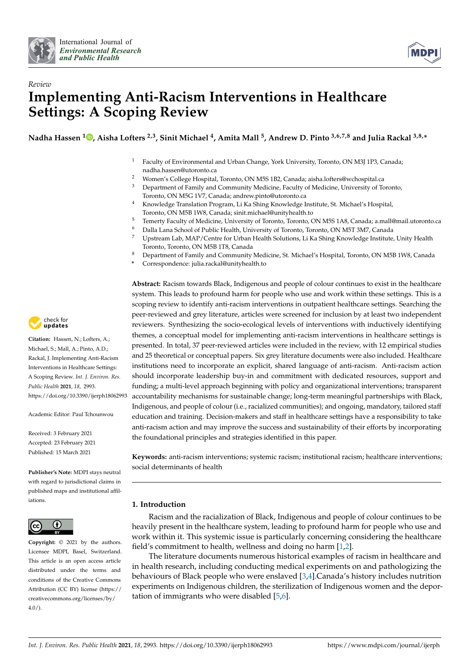



# *Review* **Implementing Anti-Racism Interventions in Healthcare Settings: A Scoping Review**

**Nadha Hassen <sup>1</sup> [,](https://orcid.org/0000-0003-0214-6655) Aisha Lofters 2,3, Sinit Michael <sup>4</sup> , Amita Mall <sup>5</sup> , Andrew D. Pinto 3,6,7,8 and Julia Rackal 3,8,\***

- <sup>1</sup> Faculty of Environmental and Urban Change, York University, Toronto, ON M3J 1P3, Canada; nadha.hassen@utoronto.ca
- 2 Women's College Hospital, Toronto, ON M5S 1B2, Canada; aisha.lofters@wchospital.ca<br>3 Department of Eamily and Community Medicine, Eaculty of Medicine, University of To
- <sup>3</sup> Department of Family and Community Medicine, Faculty of Medicine, University of Toronto, Toronto, ON M5G 1V7, Canada; andrew.pinto@utoronto.ca
- <sup>4</sup> Knowledge Translation Program, Li Ka Shing Knowledge Institute, St. Michael's Hospital, Toronto, ON M5B 1W8, Canada; sinit.michael@unityhealth.to
- <sup>5</sup> Temerty Faculty of Medicine, University of Toronto, Toronto, ON M5S 1A8, Canada; a.mall@mail.utoronto.ca
- <sup>6</sup> Dalla Lana School of Public Health, University of Toronto, Toronto, ON M5T 3M7, Canada<br><sup>7</sup> Unstroam Lab MAP/Contra for Urban Hoalth Solutions, Li Ka Shing Knowledge Institute
- <sup>7</sup> Upstream Lab, MAP/Centre for Urban Health Solutions, Li Ka Shing Knowledge Institute, Unity Health Toronto, Toronto, ON M5B 1T8, Canada
- <sup>8</sup> Department of Family and Community Medicine, St. Michael's Hospital, Toronto, ON M5B 1W8, Canada
- **\*** Correspondence: julia.rackal@unityhealth.to

**Abstract:** Racism towards Black, Indigenous and people of colour continues to exist in the healthcare system. This leads to profound harm for people who use and work within these settings. This is a scoping review to identify anti-racism interventions in outpatient healthcare settings. Searching the peer-reviewed and grey literature, articles were screened for inclusion by at least two independent reviewers. Synthesizing the socio-ecological levels of interventions with inductively identifying themes, a conceptual model for implementing anti-racism interventions in healthcare settings is presented. In total, 37 peer-reviewed articles were included in the review, with 12 empirical studies and 25 theoretical or conceptual papers. Six grey literature documents were also included. Healthcare institutions need to incorporate an explicit, shared language of anti-racism. Anti-racism action should incorporate leadership buy-in and commitment with dedicated resources, support and funding; a multi-level approach beginning with policy and organizational interventions; transparent accountability mechanisms for sustainable change; long-term meaningful partnerships with Black, Indigenous, and people of colour (i.e., racialized communities); and ongoing, mandatory, tailored staff education and training. Decision-makers and staff in healthcare settings have a responsibility to take anti-racism action and may improve the success and sustainability of their efforts by incorporating the foundational principles and strategies identified in this paper.

**Keywords:** anti-racism interventions; systemic racism; institutional racism; healthcare interventions; social determinants of health

# **1. Introduction**

Racism and the racialization of Black, Indigenous and people of colour continues to be heavily present in the healthcare system, leading to profound harm for people who use and work within it. This systemic issue is particularly concerning considering the healthcare field's commitment to health, wellness and doing no harm [\[1](#page-12-0)[,2\]](#page-12-1).

The literature documents numerous historical examples of racism in healthcare and in health research, including conducting medical experiments on and pathologizing the behaviours of Black people who were enslaved [\[3](#page-12-2)[,4\]](#page-12-3).Canada's history includes nutrition experiments on Indigenous children, the sterilization of Indigenous women and the deportation of immigrants who were disabled [\[5,](#page-12-4)[6\]](#page-12-5).



**Citation:** Hassen, N.; Lofters, A.; Michael, S.; Mall, A.; Pinto, A.D.; Rackal, J. Implementing Anti-Racism Interventions in Healthcare Settings: A Scoping Review. *Int. J. Environ. Res. Public Health* **2021**, *18*, 2993. <https://doi.org/10.3390/ijerph18062993>

Academic Editor: Paul Tchounwou

Received: 3 February 2021 Accepted: 23 February 2021 Published: 15 March 2021

**Publisher's Note:** MDPI stays neutral with regard to jurisdictional claims in published maps and institutional affiliations.



**Copyright:** © 2021 by the authors. Licensee MDPI, Basel, Switzerland. This article is an open access article distributed under the terms and conditions of the Creative Commons Attribution (CC BY) license (https:/[/](https://creativecommons.org/licenses/by/4.0/) [creativecommons.org/licenses/by/](https://creativecommons.org/licenses/by/4.0/)  $4.0/$ ).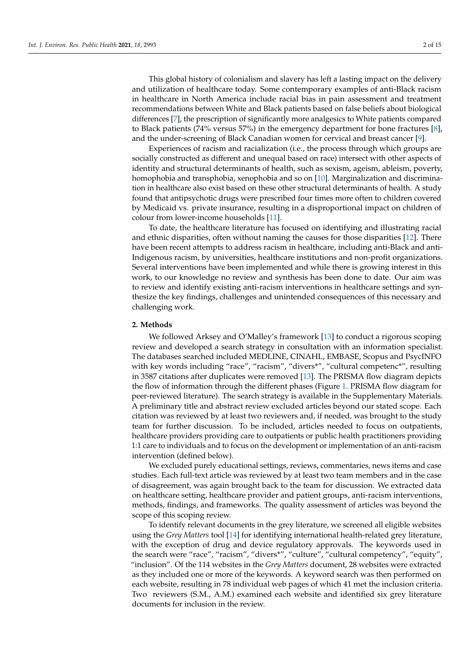This global history of colonialism and slavery has left a lasting impact on the delivery and utilization of healthcare today. Some contemporary examples of anti-Black racism in healthcare in North America include racial bias in pain assessment and treatment recommendations between White and Black patients based on false beliefs about biological differences [\[7\]](#page-12-6), the prescription of significantly more analgesics to White patients compared to Black patients (74% versus 57%) in the emergency department for bone fractures [\[8\]](#page-12-7), and the under-screening of Black Canadian women for cervical and breast cancer [\[9\]](#page-12-8).

Experiences of racism and racialization (i.e., the process through which groups are socially constructed as different and unequal based on race) intersect with other aspects of identity and structural determinants of health, such as sexism, ageism, ableism, poverty, homophobia and transphobia, xenophobia and so on [\[10\]](#page-12-9). Marginalization and discrimination in healthcare also exist based on these other structural determinants of health. A study found that antipsychotic drugs were prescribed four times more often to children covered by Medicaid vs. private insurance, resulting in a disproportional impact on children of colour from lower-income households [\[11\]](#page-12-10).

To date, the healthcare literature has focused on identifying and illustrating racial and ethnic disparities, often without naming the causes for those disparities [\[12\]](#page-12-11). There have been recent attempts to address racism in healthcare, including anti-Black and anti-Indigenous racism, by universities, healthcare institutions and non-profit organizations. Several interventions have been implemented and while there is growing interest in this work, to our knowledge no review and synthesis has been done to date. Our aim was to review and identify existing anti-racism interventions in healthcare settings and synthesize the key findings, challenges and unintended consequences of this necessary and challenging work.

#### **2. Methods**

We followed Arksey and O'Malley's framework [\[13\]](#page-13-0) to conduct a rigorous scoping review and developed a search strategy in consultation with an information specialist. The databases searched included MEDLINE, CINAHL, EMBASE, Scopus and PsycINFO with key words including "race", "racism", "divers\*", "cultural competenc\*", resulting in 3587 citations after duplicates were removed [\[13\]](#page-13-0). The PRISMA flow diagram depicts the flow of information through the different phases (Figure [1.](#page-2-0) PRISMA flow diagram for peer-reviewed literature). The search strategy is available in the Supplementary Materials. A preliminary title and abstract review excluded articles beyond our stated scope. Each citation was reviewed by at least two reviewers and, if needed, was brought to the study team for further discussion. To be included, articles needed to focus on outpatients, healthcare providers providing care to outpatients or public health practitioners providing 1:1 care to individuals and to focus on the development or implementation of an anti-racism intervention (defined below).

We excluded purely educational settings, reviews, commentaries, news items and case studies. Each full-text article was reviewed by at least two team members and in the case of disagreement, was again brought back to the team for discussion. We extracted data on healthcare setting, healthcare provider and patient groups, anti-racism interventions, methods, findings, and frameworks. The quality assessment of articles was beyond the scope of this scoping review.

To identify relevant documents in the grey literature, we screened all eligible websites using the *Grey Matters* tool [\[14\]](#page-13-1) for identifying international health-related grey literature, with the exception of drug and device regulatory approvals. The keywords used in the search were "race", "racism", "divers\*", "culture", "cultural competency", "equity", "inclusion". Of the 114 websites in the *Grey Matters* document, 28 websites were extracted as they included one or more of the keywords. A keyword search was then performed on each website, resulting in 78 individual web pages of which 41 met the inclusion criteria. Two reviewers (S.M., A.M.) examined each website and identified six grey literature documents for inclusion in the review.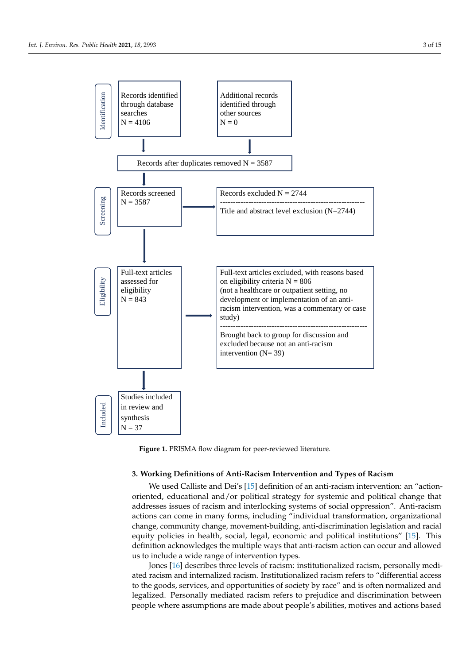<span id="page-2-0"></span>

**Figure 1.** PRISMA flow diagram for peer-reviewed literature.

#### **3. Working Definitions of Anti-Racism Intervention and Types of Racism**

We used Calliste and Dei's [\[15\]](#page-13-2) definition of an anti-racism intervention: an "actionoriented, educational and/or political strategy for systemic and political change that addresses issues of racism and interlocking systems of social oppression". Anti-racism actions can come in many forms, including "individual transformation, organizational change, community change, movement-building, anti-discrimination legislation and racial equity policies in health, social, legal, economic and political institutions" [\[15\]](#page-13-2). This definition acknowledges the multiple ways that anti-racism action can occur and allowed us to include a wide range of intervention types.

Jones [\[16\]](#page-13-3) describes three levels of racism: institutionalized racism, personally mediated racism and internalized racism. Institutionalized racism refers to "differential access to the goods, services, and opportunities of society by race" and is often normalized and legalized. Personally mediated racism refers to prejudice and discrimination between people where assumptions are made about people's abilities, motives and actions based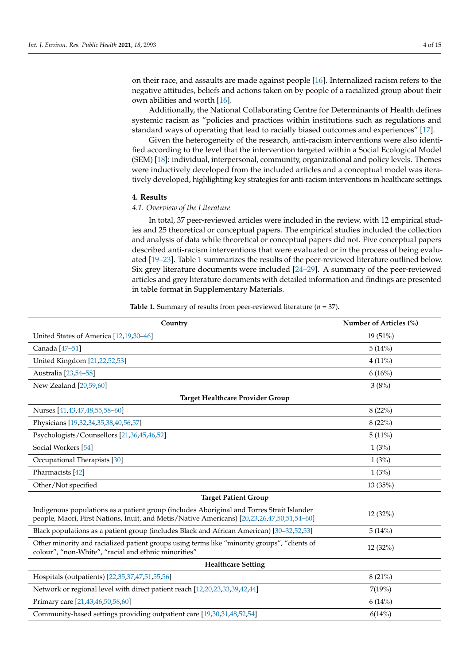on their race, and assaults are made against people [\[16\]](#page-13-3). Internalized racism refers to the negative attitudes, beliefs and actions taken on by people of a racialized group about their own abilities and worth [\[16\]](#page-13-3).

Additionally, the National Collaborating Centre for Determinants of Health defines systemic racism as "policies and practices within institutions such as regulations and standard ways of operating that lead to racially biased outcomes and experiences" [\[17\]](#page-13-4).

Given the heterogeneity of the research, anti-racism interventions were also identified according to the level that the intervention targeted within a Social Ecological Model (SEM) [\[18\]](#page-13-5): individual, interpersonal, community, organizational and policy levels. Themes were inductively developed from the included articles and a conceptual model was iteratively developed, highlighting key strategies for anti-racism interventions in healthcare settings.

#### **4. Results**

## *4.1. Overview of the Literature*

In total, 37 peer-reviewed articles were included in the review, with 12 empirical studies and 25 theoretical or conceptual papers. The empirical studies included the collection and analysis of data while theoretical or conceptual papers did not. Five conceptual papers described anti-racism interventions that were evaluated or in the process of being evaluated [\[19–](#page-13-6)[23\]](#page-13-7). Table [1](#page-4-0) summarizes the results of the peer-reviewed literature outlined below. Six grey literature documents were included [\[24](#page-13-8)[–29\]](#page-13-9). A summary of the peer-reviewed articles and grey literature documents with detailed information and findings are presented in table format in Supplementary Materials.

**Table 1.** Summary of results from peer-reviewed literature ( $n = 37$ ).

| Country                                                                                                                                                                                 | Number of Articles (%) |  |  |
|-----------------------------------------------------------------------------------------------------------------------------------------------------------------------------------------|------------------------|--|--|
| United States of America [12,19,30-46]                                                                                                                                                  | 19 (51%)               |  |  |
| Canada [47-51]                                                                                                                                                                          | 5(14%)                 |  |  |
| United Kingdom [21,22,52,53]                                                                                                                                                            | $4(11\%)$              |  |  |
| Australia [23,54-58]                                                                                                                                                                    | 6(16%)                 |  |  |
| New Zealand [20,59,60]                                                                                                                                                                  | 3(8%)                  |  |  |
| Target Healthcare Provider Group                                                                                                                                                        |                        |  |  |
| Nurses [41,43,47,48,55,58-60]                                                                                                                                                           | 8(22%)                 |  |  |
| Physicians [19,32,34,35,38,40,56,57]                                                                                                                                                    | 8(22%)                 |  |  |
| Psychologists/Counsellors [21,36,45,46,52]                                                                                                                                              | 5(11%)                 |  |  |
| Social Workers [54]                                                                                                                                                                     | 1(3%)                  |  |  |
| Occupational Therapists [30]                                                                                                                                                            | 1(3%)                  |  |  |
| Pharmacists [42]                                                                                                                                                                        | 1(3%)                  |  |  |
| Other/Not specified                                                                                                                                                                     | 13 (35%)               |  |  |
| <b>Target Patient Group</b>                                                                                                                                                             |                        |  |  |
| Indigenous populations as a patient group (includes Aboriginal and Torres Strait Islander<br>people, Maori, First Nations, Inuit, and Metis/Native Americans) [20,23,26,47,50,51,54-60] | 12 (32%)               |  |  |
| Black populations as a patient group (includes Black and African American) [30–32,52,53]                                                                                                | 5(14%)                 |  |  |
| Other minority and racialized patient groups using terms like "minority groups", "clients of<br>colour", "non-White", "racial and ethnic minorities"                                    | 12 (32%)               |  |  |
| <b>Healthcare Setting</b>                                                                                                                                                               |                        |  |  |
| Hospitals (outpatients) [22,35,37,47,51,55,56]                                                                                                                                          | 8(21%)                 |  |  |
| Network or regional level with direct patient reach [12,20,23,33,39,42,44]                                                                                                              | 7(19%)                 |  |  |
| Primary care [21,43,46,50,58,60]                                                                                                                                                        | 6(14%)                 |  |  |
| Community-based settings providing outpatient care [19,30,31,48,52,54]                                                                                                                  | 6(14%)                 |  |  |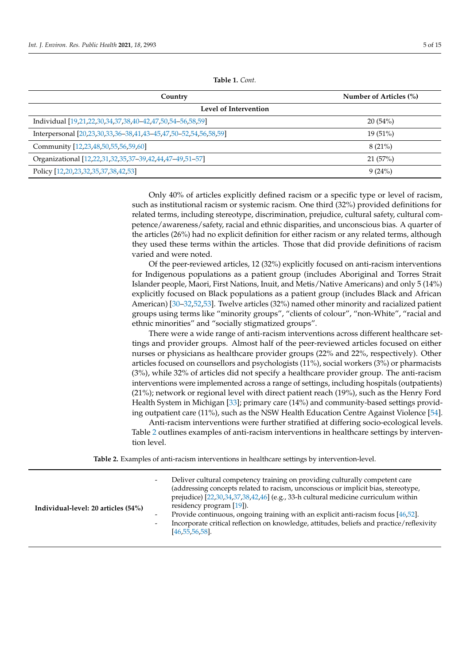| Table 1. Cont. |  |  |
|----------------|--|--|
|----------------|--|--|

<span id="page-4-0"></span>

| Country                                                         | Number of Articles (%) |  |
|-----------------------------------------------------------------|------------------------|--|
| Level of Intervention                                           |                        |  |
| Individual [19,21,22,30,34,37,38,40–42,47,50,54–56,58,59]       | 20(54%)                |  |
| Interpersonal [20,23,30,33,36-38,41,43-45,47,50-52,54,56,58,59] | $19(51\%)$             |  |
| Community [12,23,48,50,55,56,59,60]                             | $8(21\%)$              |  |
| Organizational [12,22,31,32,35,37-39,42,44,47-49,51-57]         | 21(57%)                |  |
| Policy [12,20,23,32,35,37,38,42,53]                             | 9(24%)                 |  |

Only 40% of articles explicitly defined racism or a specific type or level of racism, such as institutional racism or systemic racism. One third (32%) provided definitions for related terms, including stereotype, discrimination, prejudice, cultural safety, cultural competence/awareness/safety, racial and ethnic disparities, and unconscious bias. A quarter of the articles (26%) had no explicit definition for either racism or any related terms, although they used these terms within the articles. Those that did provide definitions of racism varied and were noted.

Of the peer-reviewed articles, 12 (32%) explicitly focused on anti-racism interventions for Indigenous populations as a patient group (includes Aboriginal and Torres Strait Islander people, Maori, First Nations, Inuit, and Metis/Native Americans) and only 5 (14%) explicitly focused on Black populations as a patient group (includes Black and African American) [\[30–](#page-13-10)[32](#page-13-14)[,52,](#page-14-3)[53\]](#page-14-4). Twelve articles (32%) named other minority and racialized patient groups using terms like "minority groups", "clients of colour", "non-White", "racial and ethnic minorities" and "socially stigmatized groups".

There were a wide range of anti-racism interventions across different healthcare settings and provider groups. Almost half of the peer-reviewed articles focused on either nurses or physicians as healthcare provider groups (22% and 22%, respectively). Other articles focused on counsellors and psychologists (11%), social workers (3%) or pharmacists (3%), while 32% of articles did not specify a healthcare provider group. The anti-racism interventions were implemented across a range of settings, including hospitals (outpatients) (21%); network or regional level with direct patient reach (19%), such as the Henry Ford Health System in Michigan [\[33\]](#page-13-21); primary care (14%) and community-based settings providing outpatient care (11%), such as the NSW Health Education Centre Against Violence [\[54\]](#page-14-5).

Anti-racism interventions were further stratified at differing socio-ecological levels. Table [2](#page-5-0) outlines examples of anti-racism interventions in healthcare settings by intervention level.

**Table 2.** Examples of anti-racism interventions in healthcare settings by intervention-level.

| Individual-level: 20 articles (54%) | Deliver cultural competency training on providing culturally competent care<br>$\overline{\phantom{a}}$<br>(addressing concepts related to racism, unconscious or implicit bias, stereotype,<br>prejudice) [22,30,34,37,38,42,46] (e.g., 33-h cultural medicine curriculum within<br>residency program [19]).<br>Provide continuous, ongoing training with an explicit anti-racism focus [46,52].<br>$\overline{\phantom{a}}$<br>Incorporate critical reflection on knowledge, attitudes, beliefs and practice/reflexivity<br>$\overline{\phantom{a}}$<br>$[46, 55, 56, 58]$ . |
|-------------------------------------|--------------------------------------------------------------------------------------------------------------------------------------------------------------------------------------------------------------------------------------------------------------------------------------------------------------------------------------------------------------------------------------------------------------------------------------------------------------------------------------------------------------------------------------------------------------------------------|
|-------------------------------------|--------------------------------------------------------------------------------------------------------------------------------------------------------------------------------------------------------------------------------------------------------------------------------------------------------------------------------------------------------------------------------------------------------------------------------------------------------------------------------------------------------------------------------------------------------------------------------|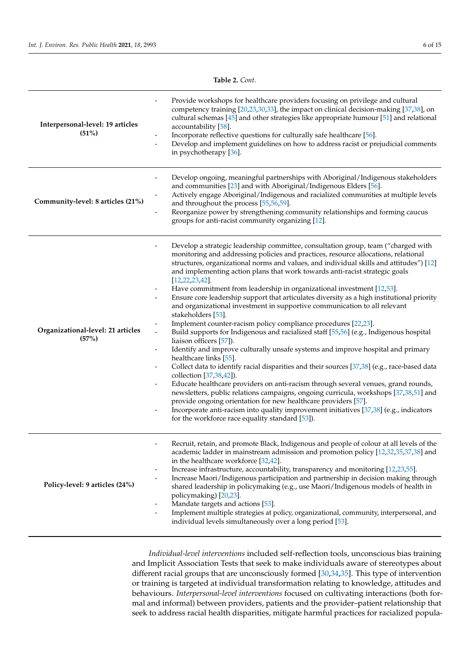**Table 2.** *Cont.*

<span id="page-5-0"></span>

| Interpersonal-level: 19 articles<br>(51%)  | Provide workshops for healthcare providers focusing on privilege and cultural<br>competency training [20,23,30,33], the impact on clinical decision-making [37,38], on<br>cultural schemas [45] and other strategies like appropriate humour [51] and relational<br>accountability [58].<br>Incorporate reflective questions for culturally safe healthcare [56].<br>Develop and implement guidelines on how to address racist or prejudicial comments<br>in psychotherapy [36].                                                                                                                                                                                                                                                                                                                                                                                                                                                                                                                                                                                                                                                                                                                                                                                                                                                                                                                                                                                                                                                      |
|--------------------------------------------|---------------------------------------------------------------------------------------------------------------------------------------------------------------------------------------------------------------------------------------------------------------------------------------------------------------------------------------------------------------------------------------------------------------------------------------------------------------------------------------------------------------------------------------------------------------------------------------------------------------------------------------------------------------------------------------------------------------------------------------------------------------------------------------------------------------------------------------------------------------------------------------------------------------------------------------------------------------------------------------------------------------------------------------------------------------------------------------------------------------------------------------------------------------------------------------------------------------------------------------------------------------------------------------------------------------------------------------------------------------------------------------------------------------------------------------------------------------------------------------------------------------------------------------|
| Community-level: 8 articles (21%)          | Develop ongoing, meaningful partnerships with Aboriginal/Indigenous stakeholders<br>$\overline{\phantom{0}}$<br>and communities [23] and with Aboriginal/Indigenous Elders [56].<br>Actively engage Aboriginal/Indigenous and racialized communities at multiple levels<br>and throughout the process [55,56,59].<br>Reorganize power by strengthening community relationships and forming caucus<br>groups for anti-racist community organizing [12].                                                                                                                                                                                                                                                                                                                                                                                                                                                                                                                                                                                                                                                                                                                                                                                                                                                                                                                                                                                                                                                                                |
| Organizational-level: 21 articles<br>(57%) | Develop a strategic leadership committee, consultation group, team ("charged with<br>monitoring and addressing policies and practices, resource allocations, relational<br>structures, organizational norms and values, and individual skills and attitudes") [12]<br>and implementing action plans that work towards anti-racist strategic goals<br>$[12, 22, 23, 42]$ .<br>Have commitment from leadership in organizational investment [12,53].<br>Ensure core leadership support that articulates diversity as a high institutional priority<br>$\overline{\phantom{a}}$<br>and organizational investment in supportive communication to all relevant<br>stakeholders [53].<br>Implement counter-racism policy compliance procedures [22,23].<br>Build supports for Indigenous and racialized staff [55,56] (e.g., Indigenous hospital<br>liaison officers [57]).<br>Identify and improve culturally unsafe systems and improve hospital and primary<br>healthcare links [55].<br>Collect data to identify racial disparities and their sources [37,38] (e.g., race-based data<br>$\overline{\phantom{0}}$<br>collection [37,38,42]).<br>Educate healthcare providers on anti-racism through several venues, grand rounds,<br>newsletters, public relations campaigns, ongoing curricula, workshops [37,38,51] and<br>provide ongoing orientation for new healthcare providers [57].<br>Incorporate anti-racism into quality improvement initiatives [37,38] (e.g., indicators<br>for the workforce race equality standard [53]). |
| Policy-level: 9 articles (24%)             | Recruit, retain, and promote Black, Indigenous and people of colour at all levels of the<br>academic ladder in mainstream admission and promotion policy [12,32,35,37,38] and<br>in the healthcare workforce [32,42].<br>Increase infrastructure, accountability, transparency and monitoring [12,23,55].<br>Increase Maori/Indigenous participation and partnership in decision making through<br>shared leadership in policymaking (e.g., use Maori/Indigenous models of health in<br>policymaking) [20,23].<br>Mandate targets and actions [53].<br>-<br>Implement multiple strategies at policy, organizational, community, interpersonal, and<br>$\overline{\phantom{0}}$<br>individual levels simultaneously over a long period [53].                                                                                                                                                                                                                                                                                                                                                                                                                                                                                                                                                                                                                                                                                                                                                                                           |

*Individual-level interventions* included self-reflection tools, unconscious bias training and Implicit Association Tests that seek to make individuals aware of stereotypes about different racial groups that are unconsciously formed [\[30,](#page-13-10)[34,](#page-13-15)[35\]](#page-13-16). This type of intervention or training is targeted at individual transformation relating to knowledge, attitudes and behaviours. *Interpersonal-level interventions* focused on cultivating interactions (both formal and informal) between providers, patients and the provider–patient relationship that seek to address racial health disparities, mitigate harmful practices for racialized popula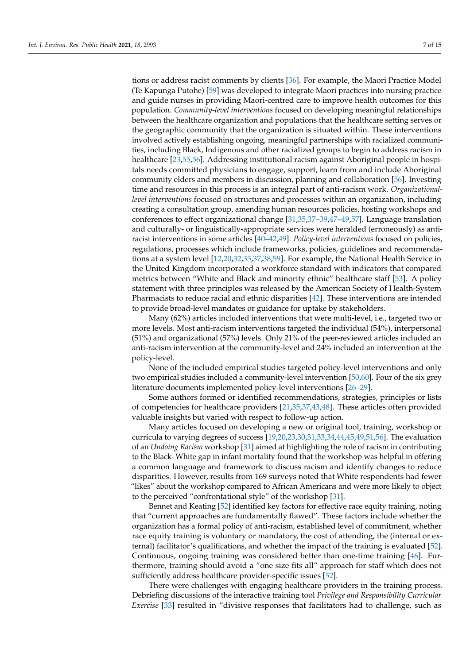tions or address racist comments by clients [\[36\]](#page-13-18). For example, the Maori Practice Model (Te Kapunga Putohe) [\[59\]](#page-14-7) was developed to integrate Maori practices into nursing practice and guide nurses in providing Maori-centred care to improve health outcomes for this population. *Community-level interventions* focused on developing meaningful relationships between the healthcare organization and populations that the healthcare setting serves or the geographic community that the organization is situated within. These interventions involved actively establishing ongoing, meaningful partnerships with racialized communities, including Black, Indigenous and other racialized groups to begin to address racism in healthcare [\[23,](#page-13-7)[55,](#page-14-12)[56\]](#page-14-14). Addressing institutional racism against Aboriginal people in hospitals needs committed physicians to engage, support, learn from and include Aboriginal community elders and members in discussion, planning and collaboration [\[56\]](#page-14-14). Investing time and resources in this process is an integral part of anti-racism work. *Organizationallevel interventions* focused on structures and processes within an organization, including creating a consultation group, amending human resources policies, hosting workshops and conferences to effect organizational change [\[31,](#page-13-23)[35](#page-13-16)[,37](#page-13-20)[–39,](#page-13-22)[47](#page-14-1)[–49,](#page-14-20)[57\]](#page-14-15). Language translation and culturally- or linguistically-appropriate services were heralded (erroneously) as antiracist interventions in some articles [\[40–](#page-14-13)[42,](#page-14-17)[49\]](#page-14-20). *Policy-level interventions* focused on policies, regulations, processes which include frameworks, policies, guidelines and recommendations at a system level [\[12,](#page-12-11)[20,](#page-13-13)[32,](#page-13-14)[35,](#page-13-16)[37,](#page-13-20)[38,](#page-13-17)[59\]](#page-14-7). For example, the National Health Service in the United Kingdom incorporated a workforce standard with indicators that compared metrics between "White and Black and minority ethnic" healthcare staff [\[53\]](#page-14-4). A policy statement with three principles was released by the American Society of Health-System Pharmacists to reduce racial and ethnic disparities [\[42\]](#page-14-17). These interventions are intended to provide broad-level mandates or guidance for uptake by stakeholders.

Many (62%) articles included interventions that were multi-level, i.e., targeted two or more levels. Most anti-racism interventions targeted the individual (54%), interpersonal (51%) and organizational (57%) levels. Only 21% of the peer-reviewed articles included an anti-racism intervention at the community-level and 24% included an intervention at the policy-level.

None of the included empirical studies targeted policy-level interventions and only two empirical studies included a community-level intervention [\[50,](#page-14-18)[60\]](#page-14-8). Four of the six grey literature documents implemented policy-level interventions [\[26](#page-13-19)[–29\]](#page-13-9).

Some authors formed or identified recommendations, strategies, principles or lists of competencies for healthcare providers [\[21,](#page-13-11)[35,](#page-13-16)[37,](#page-13-20)[43,](#page-14-10)[48\]](#page-14-11). These articles often provided valuable insights but varied with respect to follow-up action.

Many articles focused on developing a new or original tool, training, workshop or curricula to varying degrees of success [\[19,](#page-13-6)[20](#page-13-13)[,23](#page-13-7)[,30,](#page-13-10)[31,](#page-13-23)[33,](#page-13-21)[34](#page-13-15)[,44](#page-14-19)[,45,](#page-14-16)[49,](#page-14-20)[51,](#page-14-2)[56\]](#page-14-14). The evaluation of an *Undoing Racism* workshop [\[31\]](#page-13-23) aimed at highlighting the role of racism in contributing to the Black–White gap in infant mortality found that the workshop was helpful in offering a common language and framework to discuss racism and identify changes to reduce disparities. However, results from 169 surveys noted that White respondents had fewer "likes" about the workshop compared to African Americans and were more likely to object to the perceived "confrontational style" of the workshop [\[31\]](#page-13-23).

Bennet and Keating [\[52\]](#page-14-3) identified key factors for effective race equity training, noting that "current approaches are fundamentally flawed". These factors include whether the organization has a formal policy of anti-racism, established level of commitment, whether race equity training is voluntary or mandatory, the cost of attending, the (internal or external) facilitator's qualifications, and whether the impact of the training is evaluated [\[52\]](#page-14-3). Continuous, ongoing training was considered better than one-time training [\[46\]](#page-14-0). Furthermore, training should avoid a "one size fits all" approach for staff which does not sufficiently address healthcare provider-specific issues [\[52\]](#page-14-3).

There were challenges with engaging healthcare providers in the training process. Debriefing discussions of the interactive training tool *Privilege and Responsibility Curricular Exercise* [\[33\]](#page-13-21) resulted in "divisive responses that facilitators had to challenge, such as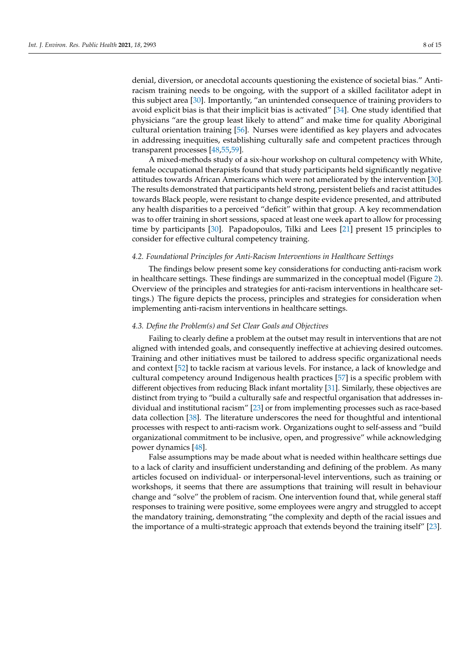denial, diversion, or anecdotal accounts questioning the existence of societal bias." Antiracism training needs to be ongoing, with the support of a skilled facilitator adept in this subject area [\[30\]](#page-13-10). Importantly, "an unintended consequence of training providers to avoid explicit bias is that their implicit bias is activated" [\[34\]](#page-13-15). One study identified that physicians "are the group least likely to attend" and make time for quality Aboriginal cultural orientation training [\[56\]](#page-14-14). Nurses were identified as key players and advocates in addressing inequities, establishing culturally safe and competent practices through transparent processes [\[48,](#page-14-11)[55,](#page-14-12)[59\]](#page-14-7).

A mixed-methods study of a six-hour workshop on cultural competency with White, female occupational therapists found that study participants held significantly negative attitudes towards African Americans which were not ameliorated by the intervention [\[30\]](#page-13-10). The results demonstrated that participants held strong, persistent beliefs and racist attitudes towards Black people, were resistant to change despite evidence presented, and attributed any health disparities to a perceived "deficit" within that group. A key recommendation was to offer training in short sessions, spaced at least one week apart to allow for processing time by participants [\[30\]](#page-13-10). Papadopoulos, Tilki and Lees [\[21\]](#page-13-11) present 15 principles to consider for effective cultural competency training.

#### *4.2. Foundational Principles for Anti-Racism Interventions in Healthcare Settings*

The findings below present some key considerations for conducting anti-racism work in healthcare settings. These findings are summarized in the conceptual model (Figure [2\)](#page-8-0). Overview of the principles and strategies for anti-racism interventions in healthcare settings.) The figure depicts the process, principles and strategies for consideration when implementing anti-racism interventions in healthcare settings.

#### *4.3. Define the Problem(s) and Set Clear Goals and Objectives*

Failing to clearly define a problem at the outset may result in interventions that are not aligned with intended goals, and consequently ineffective at achieving desired outcomes. Training and other initiatives must be tailored to address specific organizational needs and context [\[52\]](#page-14-3) to tackle racism at various levels. For instance, a lack of knowledge and cultural competency around Indigenous health practices [\[57\]](#page-14-15) is a specific problem with different objectives from reducing Black infant mortality [\[31\]](#page-13-23). Similarly, these objectives are distinct from trying to "build a culturally safe and respectful organisation that addresses individual and institutional racism" [\[23\]](#page-13-7) or from implementing processes such as race-based data collection [\[38\]](#page-13-17). The literature underscores the need for thoughtful and intentional processes with respect to anti-racism work. Organizations ought to self-assess and "build organizational commitment to be inclusive, open, and progressive" while acknowledging power dynamics [\[48\]](#page-14-11).

False assumptions may be made about what is needed within healthcare settings due to a lack of clarity and insufficient understanding and defining of the problem. As many articles focused on individual- or interpersonal-level interventions, such as training or workshops, it seems that there are assumptions that training will result in behaviour change and "solve" the problem of racism. One intervention found that, while general staff responses to training were positive, some employees were angry and struggled to accept the mandatory training, demonstrating "the complexity and depth of the racial issues and the importance of a multi-strategic approach that extends beyond the training itself" [\[23\]](#page-13-7).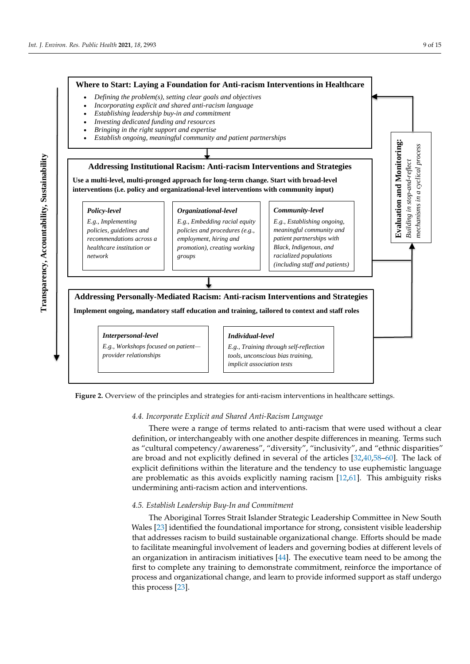<span id="page-8-0"></span>



#### *4.4. Incorporate Explicit and Shared Anti-Racism Language*

There were a range of terms related to anti-racism that were used without a clear definition, or interchangeably with one another despite differences in meaning. Terms such as "cultural competency/awareness", "diversity", "inclusivity", and "ethnic disparities" are broad and not explicitly defined in several of the articles [\[32,](#page-13-14)[40,](#page-14-13)[58](#page-14-6)[–60\]](#page-14-8). The lack of explicit definitions within the literature and the tendency to use euphemistic language are problematic as this avoids explicitly naming racism [\[12,](#page-12-11)[61\]](#page-14-21). This ambiguity risks undermining anti-racism action and interventions.

# *4.5. Establish Leadership Buy-In and Commitment*

The Aboriginal Torres Strait Islander Strategic Leadership Committee in New South Wales [\[23\]](#page-13-7) identified the foundational importance for strong, consistent visible leadership that addresses racism to build sustainable organizational change. Efforts should be made to facilitate meaningful involvement of leaders and governing bodies at different levels of an organization in antiracism initiatives  $[44]$ . The executive team need to be among the first to complete any training to demonstrate commitment, reinforce the importance of process and organizational change, and learn to provide informed support as staff undergo this process [\[23\]](#page-13-7).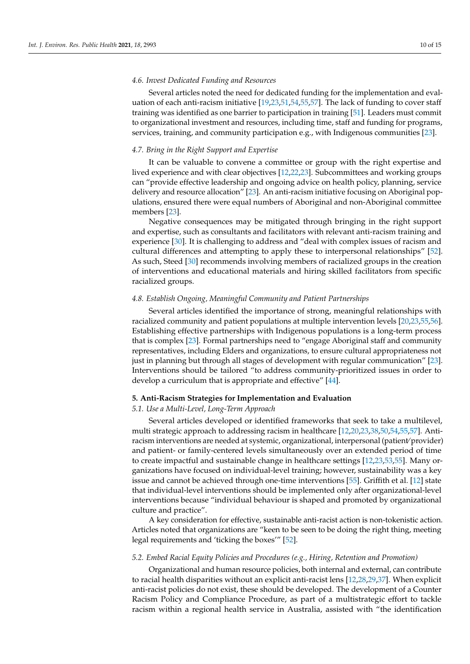#### *4.6. Invest Dedicated Funding and Resources*

Several articles noted the need for dedicated funding for the implementation and evaluation of each anti-racism initiative [\[19](#page-13-6)[,23](#page-13-7)[,51](#page-14-2)[,54,](#page-14-5)[55,](#page-14-12)[57\]](#page-14-15). The lack of funding to cover staff training was identified as one barrier to participation in training [\[51\]](#page-14-2). Leaders must commit to organizational investment and resources, including time, staff and funding for programs, services, training, and community participation e.g., with Indigenous communities [\[23\]](#page-13-7).

#### *4.7. Bring in the Right Support and Expertise*

It can be valuable to convene a committee or group with the right expertise and lived experience and with clear objectives [\[12](#page-12-11)[,22](#page-13-12)[,23\]](#page-13-7). Subcommittees and working groups can "provide effective leadership and ongoing advice on health policy, planning, service delivery and resource allocation" [\[23\]](#page-13-7). An anti-racism initiative focusing on Aboriginal populations, ensured there were equal numbers of Aboriginal and non-Aboriginal committee members [\[23\]](#page-13-7).

Negative consequences may be mitigated through bringing in the right support and expertise, such as consultants and facilitators with relevant anti-racism training and experience [\[30\]](#page-13-10). It is challenging to address and "deal with complex issues of racism and cultural differences and attempting to apply these to interpersonal relationships" [\[52\]](#page-14-3). As such, Steed [\[30\]](#page-13-10) recommends involving members of racialized groups in the creation of interventions and educational materials and hiring skilled facilitators from specific racialized groups.

#### *4.8. Establish Ongoing, Meaningful Community and Patient Partnerships*

Several articles identified the importance of strong, meaningful relationships with racialized community and patient populations at multiple intervention levels [\[20](#page-13-13)[,23](#page-13-7)[,55](#page-14-12)[,56\]](#page-14-14). Establishing effective partnerships with Indigenous populations is a long-term process that is complex [\[23\]](#page-13-7). Formal partnerships need to "engage Aboriginal staff and community representatives, including Elders and organizations, to ensure cultural appropriateness not just in planning but through all stages of development with regular communication" [\[23\]](#page-13-7). Interventions should be tailored "to address community-prioritized issues in order to develop a curriculum that is appropriate and effective" [\[44\]](#page-14-19).

#### **5. Anti-Racism Strategies for Implementation and Evaluation**

#### *5.1. Use a Multi-Level, Long-Term Approach*

Several articles developed or identified frameworks that seek to take a multilevel, multi strategic approach to addressing racism in healthcare [\[12,](#page-12-11)[20,](#page-13-13)[23](#page-13-7)[,38](#page-13-17)[,50](#page-14-18)[,54](#page-14-5)[,55,](#page-14-12)[57\]](#page-14-15). Antiracism interventions are needed at systemic, organizational, interpersonal (patient⁄ provider) and patient- or family-centered levels simultaneously over an extended period of time to create impactful and sustainable change in healthcare settings [\[12](#page-12-11)[,23](#page-13-7)[,53](#page-14-4)[,55\]](#page-14-12). Many organizations have focused on individual-level training; however, sustainability was a key issue and cannot be achieved through one-time interventions [\[55\]](#page-14-12). Griffith et al. [\[12\]](#page-12-11) state that individual-level interventions should be implemented only after organizational-level interventions because "individual behaviour is shaped and promoted by organizational culture and practice".

A key consideration for effective, sustainable anti-racist action is non-tokenistic action. Articles noted that organizations are "keen to be seen to be doing the right thing, meeting legal requirements and 'ticking the boxes'" [\[52\]](#page-14-3).

#### *5.2. Embed Racial Equity Policies and Procedures (e.g., Hiring, Retention and Promotion)*

Organizational and human resource policies, both internal and external, can contribute to racial health disparities without an explicit anti-racist lens [\[12](#page-12-11)[,28](#page-13-24)[,29,](#page-13-9)[37\]](#page-13-20). When explicit anti-racist policies do not exist, these should be developed. The development of a Counter Racism Policy and Compliance Procedure, as part of a multistrategic effort to tackle racism within a regional health service in Australia, assisted with "the identification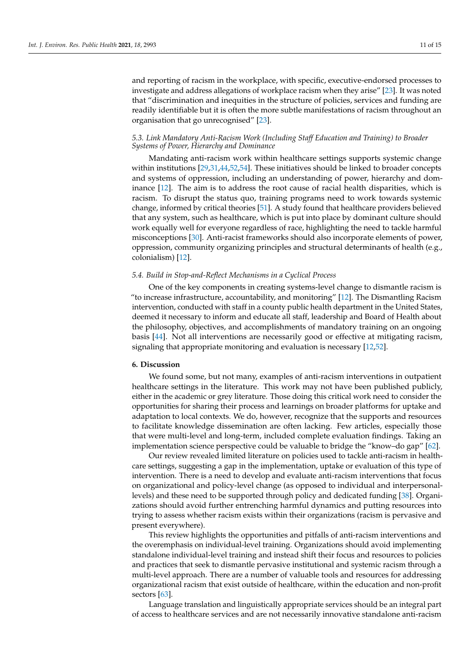and reporting of racism in the workplace, with specific, executive-endorsed processes to investigate and address allegations of workplace racism when they arise" [\[23\]](#page-13-7). It was noted that "discrimination and inequities in the structure of policies, services and funding are readily identifiable but it is often the more subtle manifestations of racism throughout an organisation that go unrecognised" [\[23\]](#page-13-7).

## *5.3. Link Mandatory Anti-Racism Work (Including Staff Education and Training) to Broader Systems of Power, Hierarchy and Dominance*

Mandating anti-racism work within healthcare settings supports systemic change within institutions [\[29](#page-13-9)[,31](#page-13-23)[,44](#page-14-19)[,52](#page-14-3)[,54\]](#page-14-5). These initiatives should be linked to broader concepts and systems of oppression, including an understanding of power, hierarchy and dominance [\[12\]](#page-12-11). The aim is to address the root cause of racial health disparities, which is racism. To disrupt the status quo, training programs need to work towards systemic change, informed by critical theories [\[51\]](#page-14-2). A study found that healthcare providers believed that any system, such as healthcare, which is put into place by dominant culture should work equally well for everyone regardless of race, highlighting the need to tackle harmful misconceptions [\[30\]](#page-13-10). Anti-racist frameworks should also incorporate elements of power, oppression, community organizing principles and structural determinants of health (e.g., colonialism) [\[12\]](#page-12-11).

#### *5.4. Build in Stop-and-Reflect Mechanisms in a Cyclical Process*

One of the key components in creating systems-level change to dismantle racism is "to increase infrastructure, accountability, and monitoring" [\[12\]](#page-12-11). The Dismantling Racism intervention, conducted with staff in a county public health department in the United States, deemed it necessary to inform and educate all staff, leadership and Board of Health about the philosophy, objectives, and accomplishments of mandatory training on an ongoing basis [\[44\]](#page-14-19). Not all interventions are necessarily good or effective at mitigating racism, signaling that appropriate monitoring and evaluation is necessary [\[12](#page-12-11)[,52\]](#page-14-3).

#### **6. Discussion**

We found some, but not many, examples of anti-racism interventions in outpatient healthcare settings in the literature. This work may not have been published publicly, either in the academic or grey literature. Those doing this critical work need to consider the opportunities for sharing their process and learnings on broader platforms for uptake and adaptation to local contexts. We do, however, recognize that the supports and resources to facilitate knowledge dissemination are often lacking. Few articles, especially those that were multi-level and long-term, included complete evaluation findings. Taking an implementation science perspective could be valuable to bridge the "know–do gap" [\[62\]](#page-14-22).

Our review revealed limited literature on policies used to tackle anti-racism in healthcare settings, suggesting a gap in the implementation, uptake or evaluation of this type of intervention. There is a need to develop and evaluate anti-racism interventions that focus on organizational and policy-level change (as opposed to individual and interpersonallevels) and these need to be supported through policy and dedicated funding [\[38\]](#page-13-17). Organizations should avoid further entrenching harmful dynamics and putting resources into trying to assess whether racism exists within their organizations (racism is pervasive and present everywhere).

This review highlights the opportunities and pitfalls of anti-racism interventions and the overemphasis on individual-level training. Organizations should avoid implementing standalone individual-level training and instead shift their focus and resources to policies and practices that seek to dismantle pervasive institutional and systemic racism through a multi-level approach. There are a number of valuable tools and resources for addressing organizational racism that exist outside of healthcare, within the education and non-profit sectors [\[63\]](#page-14-23).

Language translation and linguistically appropriate services should be an integral part of access to healthcare services and are not necessarily innovative standalone anti-racism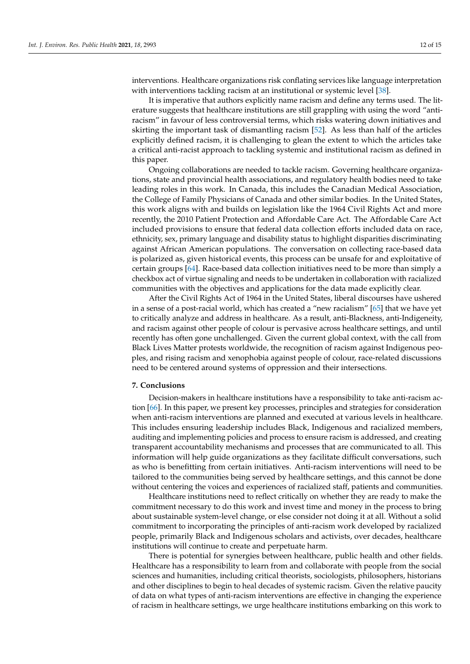interventions. Healthcare organizations risk conflating services like language interpretation with interventions tackling racism at an institutional or systemic level [\[38\]](#page-13-17).

It is imperative that authors explicitly name racism and define any terms used. The literature suggests that healthcare institutions are still grappling with using the word "antiracism" in favour of less controversial terms, which risks watering down initiatives and skirting the important task of dismantling racism [\[52\]](#page-14-3). As less than half of the articles explicitly defined racism, it is challenging to glean the extent to which the articles take a critical anti-racist approach to tackling systemic and institutional racism as defined in this paper.

Ongoing collaborations are needed to tackle racism. Governing healthcare organizations, state and provincial health associations, and regulatory health bodies need to take leading roles in this work. In Canada, this includes the Canadian Medical Association, the College of Family Physicians of Canada and other similar bodies. In the United States, this work aligns with and builds on legislation like the 1964 Civil Rights Act and more recently, the 2010 Patient Protection and Affordable Care Act. The Affordable Care Act included provisions to ensure that federal data collection efforts included data on race, ethnicity, sex, primary language and disability status to highlight disparities discriminating against African American populations. The conversation on collecting race-based data is polarized as, given historical events, this process can be unsafe for and exploitative of certain groups [\[64\]](#page-14-24). Race-based data collection initiatives need to be more than simply a checkbox act of virtue signaling and needs to be undertaken in collaboration with racialized communities with the objectives and applications for the data made explicitly clear.

After the Civil Rights Act of 1964 in the United States, liberal discourses have ushered in a sense of a post-racial world, which has created a "new racialism" [\[65\]](#page-14-25) that we have yet to critically analyze and address in healthcare. As a result, anti-Blackness, anti-Indigeneity, and racism against other people of colour is pervasive across healthcare settings, and until recently has often gone unchallenged. Given the current global context, with the call from Black Lives Matter protests worldwide, the recognition of racism against Indigenous peoples, and rising racism and xenophobia against people of colour, race-related discussions need to be centered around systems of oppression and their intersections.

## **7. Conclusions**

Decision-makers in healthcare institutions have a responsibility to take anti-racism action [\[66\]](#page-14-26). In this paper, we present key processes, principles and strategies for consideration when anti-racism interventions are planned and executed at various levels in healthcare. This includes ensuring leadership includes Black, Indigenous and racialized members, auditing and implementing policies and process to ensure racism is addressed, and creating transparent accountability mechanisms and processes that are communicated to all. This information will help guide organizations as they facilitate difficult conversations, such as who is benefitting from certain initiatives. Anti-racism interventions will need to be tailored to the communities being served by healthcare settings, and this cannot be done without centering the voices and experiences of racialized staff, patients and communities.

Healthcare institutions need to reflect critically on whether they are ready to make the commitment necessary to do this work and invest time and money in the process to bring about sustainable system-level change, or else consider not doing it at all. Without a solid commitment to incorporating the principles of anti-racism work developed by racialized people, primarily Black and Indigenous scholars and activists, over decades, healthcare institutions will continue to create and perpetuate harm.

There is potential for synergies between healthcare, public health and other fields. Healthcare has a responsibility to learn from and collaborate with people from the social sciences and humanities, including critical theorists, sociologists, philosophers, historians and other disciplines to begin to heal decades of systemic racism. Given the relative paucity of data on what types of anti-racism interventions are effective in changing the experience of racism in healthcare settings, we urge healthcare institutions embarking on this work to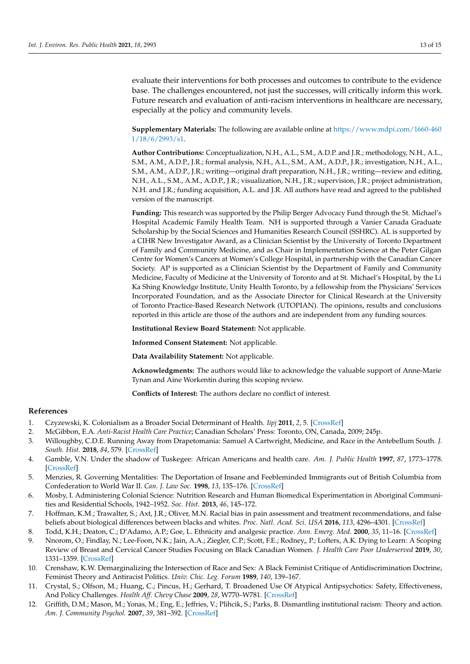evaluate their interventions for both processes and outcomes to contribute to the evidence base. The challenges encountered, not just the successes, will critically inform this work. Future research and evaluation of anti-racism interventions in healthcare are necessary, especially at the policy and community levels.

**Supplementary Materials:** The following are available online at [https://www.mdpi.com/1660-460](https://www.mdpi.com/1660-4601/18/6/2993/s1) [1/18/6/2993/s1.](https://www.mdpi.com/1660-4601/18/6/2993/s1)

**Author Contributions:** Conceptualization, N.H., A.L., S.M., A.D.P. and J.R.; methodology, N.H., A.L., S.M., A.M., A.D.P., J.R.; formal analysis, N.H., A.L., S.M., A.M., A.D.P., J.R.; investigation, N.H., A.L., S.M., A.M., A.D.P., J.R.; writing—original draft preparation, N.H., J.R.; writing—review and editing, N.H., A.L., S.M., A.M., A.D.P., J.R.; visualization, N.H., J.R.; supervision, J.R.; project administration, N.H. and J.R.; funding acquisition, A.L. and J.R. All authors have read and agreed to the published version of the manuscript.

**Funding:** This research was supported by the Philip Berger Advocacy Fund through the St. Michael's Hospital Academic Family Health Team. NH is supported through a Vanier Canada Graduate Scholarship by the Social Sciences and Humanities Research Council (SSHRC). AL is supported by a CIHR New Investigator Award, as a Clinician Scientist by the University of Toronto Department of Family and Community Medicine, and as Chair in Implementation Science at the Peter Gilgan Centre for Women's Cancers at Women's College Hospital, in partnership with the Canadian Cancer Society. AP is supported as a Clinician Scientist by the Department of Family and Community Medicine, Faculty of Medicine at the University of Toronto and at St. Michael's Hospital, by the Li Ka Shing Knowledge Institute, Unity Health Toronto, by a fellowship from the Physicians' Services Incorporated Foundation, and as the Associate Director for Clinical Research at the University of Toronto Practice-Based Research Network (UTOPIAN). The opinions, results and conclusions reported in this article are those of the authors and are independent from any funding sources.

**Institutional Review Board Statement:** Not applicable.

**Informed Consent Statement:** Not applicable.

**Data Availability Statement:** Not applicable.

**Acknowledgments:** The authors would like to acknowledge the valuable support of Anne-Marie Tynan and Aine Workentin during this scoping review.

**Conflicts of Interest:** The authors declare no conflict of interest.

#### **References**

- <span id="page-12-0"></span>1. Czyzewski, K. Colonialism as a Broader Social Determinant of Health. *Iipj* **2011**, *2*, 5. [\[CrossRef\]](http://doi.org/10.18584/iipj.2011.2.1.5)
- <span id="page-12-1"></span>2. McGibbon, E.A. *Anti-Racist Health Care Practice*; Canadian Scholars' Press: Toronto, ON, Canada, 2009; 245p.
- <span id="page-12-2"></span>3. Willoughby, C.D.E. Running Away from Drapetomania: Samuel A Cartwright, Medicine, and Race in the Antebellum South. *J. South. Hist.* **2018**, *84*, 579. [\[CrossRef\]](http://doi.org/10.1353/soh.2018.0164)
- <span id="page-12-3"></span>4. Gamble, V.N. Under the shadow of Tuskegee: African Americans and health care. *Am. J. Public Health* **1997**, *87*, 1773–1778. [\[CrossRef\]](http://doi.org/10.2105/AJPH.87.11.1773)
- <span id="page-12-4"></span>5. Menzies, R. Governing Mentalities: The Deportation of Insane and Feebleminded Immigrants out of British Columbia from Confederation to World War II. *Can. J. Law Soc.* **1998**, *13*, 135–176. [\[CrossRef\]](http://doi.org/10.1017/S0829320100005779)
- <span id="page-12-5"></span>6. Mosby, I. Administering Colonial Science: Nutrition Research and Human Biomedical Experimentation in Aboriginal Communities and Residential Schools, 1942–1952. *Soc. Hist.* **2013**, *46*, 145–172.
- <span id="page-12-6"></span>7. Hoffman, K.M.; Trawalter, S.; Axt, J.R.; Oliver, M.N. Racial bias in pain assessment and treatment recommendations, and false beliefs about biological differences between blacks and whites. *Proc. Natl. Acad. Sci. USA* **2016**, *113*, 4296–4301. [\[CrossRef\]](http://doi.org/10.1073/pnas.1516047113)
- <span id="page-12-7"></span>8. Todd, K.H.; Deaton, C.; D'Adamo, A.P.; Goe, L. Ethnicity and analgesic practice. *Ann. Emerg. Med.* **2000**, *35*, 11–16. [\[CrossRef\]](http://doi.org/10.1016/S0196-0644(00)70099-0)
- <span id="page-12-8"></span>9. Nnorom, O.; Findlay, N.; Lee-Foon, N.K.; Jain, A.A.; Ziegler, C.P.; Scott, F.E.; Rodney,, P.; Lofters, A.K. Dying to Learn: A Scoping Review of Breast and Cervical Cancer Studies Focusing on Black Canadian Women. *J. Health Care Poor Underserved* **2019**, *30*, 1331–1359. [\[CrossRef\]](http://doi.org/10.1353/hpu.2019.0100)
- <span id="page-12-9"></span>10. Crenshaw, K.W. Demarginalizing the Intersection of Race and Sex: A Black Feminist Critique of Antidiscrimination Doctrine, Feminist Theory and Antiracist Politics. *Univ. Chic. Leg. Forum* **1989**, *140*, 139–167.
- <span id="page-12-10"></span>11. Crystal, S.; Olfson, M.; Huang, C.; Pincus, H.; Gerhard, T. Broadened Use Of Atypical Antipsychotics: Safety, Effectiveness, And Policy Challenges. *Health Aff. Chevy Chase* **2009**, *28*, W770–W781. [\[CrossRef\]](http://doi.org/10.1377/hlthaff.28.5.w770)
- <span id="page-12-11"></span>12. Griffith, D.M.; Mason, M.; Yonas, M.; Eng, E.; Jeffries, V.; Plihcik, S.; Parks, B. Dismantling institutional racism: Theory and action. *Am. J. Community Psychol.* **2007**, *39*, 381–392. [\[CrossRef\]](http://doi.org/10.1007/s10464-007-9117-0)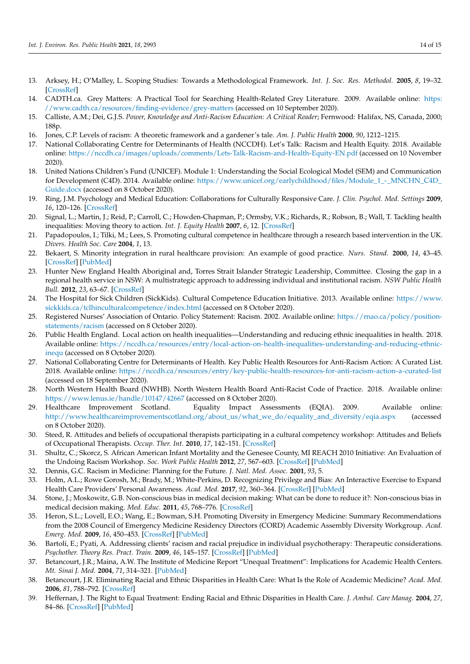- <span id="page-13-0"></span>13. Arksey, H.; O'Malley, L. Scoping Studies: Towards a Methodological Framework. *Int. J. Soc. Res. Methodol.* **2005**, *8*, 19–32. [\[CrossRef\]](http://doi.org/10.1080/1364557032000119616)
- <span id="page-13-1"></span>14. CADTH.ca. Grey Matters: A Practical Tool for Searching Health-Related Grey Literature. 2009. Available online: [https:](https://www.cadth.ca/resources/finding-evidence/grey-matters) [//www.cadth.ca/resources/finding-evidence/grey-matters](https://www.cadth.ca/resources/finding-evidence/grey-matters) (accessed on 10 September 2020).
- <span id="page-13-2"></span>15. Calliste, A.M.; Dei, G.J.S. *Power, Knowledge and Anti-Racism Education: A Critical Reader*; Fernwood: Halifax, NS, Canada, 2000; 188p.
- <span id="page-13-3"></span>16. Jones, C.P. Levels of racism: A theoretic framework and a gardener's tale. *Am. J. Public Health* **2000**, *90*, 1212–1215.
- <span id="page-13-4"></span>17. National Collaborating Centre for Determinants of Health (NCCDH). Let's Talk: Racism and Health Equity. 2018. Available online: <https://nccdh.ca/images/uploads/comments/Lets-Talk-Racism-and-Health-Equity-EN.pdf> (accessed on 10 November 2020).
- <span id="page-13-5"></span>18. United Nations Children's Fund (UNICEF). Module 1: Understanding the Social Ecological Model (SEM) and Communication for Development (C4D). 2014. Available online: [https://www.unicef.org/earlychildhood/files/Module\\_1\\_-\\_MNCHN\\_C4D\\_](https://www.unicef.org/earlychildhood/files/Module_1_-_MNCHN_C4D_Guide.docx) [Guide.docx](https://www.unicef.org/earlychildhood/files/Module_1_-_MNCHN_C4D_Guide.docx) (accessed on 8 October 2020).
- <span id="page-13-6"></span>19. Ring, J.M. Psychology and Medical Education: Collaborations for Culturally Responsive Care. *J. Clin. Psychol. Med. Settings* **2009**, *16*, 120–126. [\[CrossRef\]](http://doi.org/10.1007/s10880-008-9141-8)
- <span id="page-13-13"></span>20. Signal, L.; Martin, J.; Reid, P.; Carroll, C.; Howden-Chapman, P.; Ormsby, V.K.; Richards, R.; Robson, B.; Wall, T. Tackling health inequalities: Moving theory to action. *Int. J. Equity Health* **2007**, *6*, 12. [\[CrossRef\]](http://doi.org/10.1186/1475-9276-6-12)
- <span id="page-13-11"></span>21. Papadopoulos, I.; Tilki, M.; Lees, S. Promoting cultural competence in healthcare through a research based intervention in the UK. *Divers. Health Soc. Care* **2004**, *1*, 13.
- <span id="page-13-12"></span>22. Bekaert, S. Minority integration in rural healthcare provision: An example of good practice. *Nurs. Stand.* **2000**, *14*, 43–45. [\[CrossRef\]](http://doi.org/10.7748/ns2000.07.14.45.43.c2891) [\[PubMed\]](http://www.ncbi.nlm.nih.gov/pubmed/11974206)
- <span id="page-13-7"></span>23. Hunter New England Health Aboriginal and, Torres Strait Islander Strategic Leadership, Committee. Closing the gap in a regional health service in NSW: A multistrategic approach to addressing individual and institutional racism. *NSW Public Health Bull.* **2012**, *23*, 63–67. [\[CrossRef\]](http://doi.org/10.1071/NB12069)
- <span id="page-13-8"></span>24. The Hospital for Sick Children (SickKids). Cultural Competence Education Initiative. 2013. Available online: [https://www.](https://www.sickkids.ca/tclhinculturalcompetence/index.html) [sickkids.ca/tclhinculturalcompetence/index.html](https://www.sickkids.ca/tclhinculturalcompetence/index.html) (accessed on 8 October 2020).
- 25. Registered Nurses' Association of Ontario. Policy Statement: Racism. 2002. Available online: [https://rnao.ca/policy/position](https://rnao.ca/policy/position-statements/racism)[statements/racism](https://rnao.ca/policy/position-statements/racism) (accessed on 8 October 2020).
- <span id="page-13-19"></span>26. Public Health England. Local action on health inequalities—Understanding and reducing ethnic inequalities in health. 2018. Available online: [https://nccdh.ca/resources/entry/local-action-on-health-inequalities-understanding-and-reducing-ethnic](https://nccdh.ca/resources/entry/local-action-on-health-inequalities-understanding-and-reducing-ethnic-inequ)[inequ](https://nccdh.ca/resources/entry/local-action-on-health-inequalities-understanding-and-reducing-ethnic-inequ) (accessed on 8 October 2020).
- 27. National Collaborating Centre for Determinants of Health. Key Public Health Resources for Anti-Racism Action: A Curated List. 2018. Available online: <https://nccdh.ca/resources/entry/key-public-health-resources-for-anti-racism-action-a-curated-list> (accessed on 18 September 2020).
- <span id="page-13-24"></span>28. North Western Health Board (NWHB). North Western Health Board Anti-Racist Code of Practice. 2018. Available online: <https://www.lenus.ie/handle/10147/42667> (accessed on 8 October 2020).
- <span id="page-13-9"></span>29. Healthcare Improvement Scotland. Equality Impact Assessments (EQIA). 2009. Available online: [http://www.healthcareimprovementscotland.org/about\\_us/what\\_we\\_do/equality\\_and\\_diversity/eqia.aspx](http://www.healthcareimprovementscotland.org/about_us/what_we_do/equality_and_diversity/eqia.aspx) (accessed on 8 October 2020).
- <span id="page-13-10"></span>30. Steed, R. Attitudes and beliefs of occupational therapists participating in a cultural competency workshop: Attitudes and Beliefs of Occupational Therapists. *Occup. Ther. Int.* **2010**, *17*, 142–151. [\[CrossRef\]](http://doi.org/10.1002/oti.299)
- <span id="page-13-23"></span>31. Shultz, C.; Skorcz, S. African American Infant Mortality and the Genesee County, MI REACH 2010 Initiative: An Evaluation of the Undoing Racism Workshop. *Soc. Work Public Health* **2012**, *27*, 567–603. [\[CrossRef\]](http://doi.org/10.1080/19371910903253236) [\[PubMed\]](http://www.ncbi.nlm.nih.gov/pubmed/22963159)
- <span id="page-13-14"></span>32. Dennis, G.C. Racism in Medicine: Planning for the Future. *J. Natl. Med. Assoc.* **2001**, *93*, 5.
- <span id="page-13-21"></span>33. Holm, A.L.; Rowe Gorosh, M.; Brady, M.; White-Perkins, D. Recognizing Privilege and Bias: An Interactive Exercise to Expand Health Care Providers' Personal Awareness. *Acad. Med.* **2017**, *92*, 360–364. [\[CrossRef\]](http://doi.org/10.1097/ACM.0000000000001290) [\[PubMed\]](http://www.ncbi.nlm.nih.gov/pubmed/27355785)
- <span id="page-13-15"></span>34. Stone, J.; Moskowitz, G.B. Non-conscious bias in medical decision making: What can be done to reduce it?: Non-conscious bias in medical decision making. *Med. Educ.* **2011**, *45*, 768–776. [\[CrossRef\]](http://doi.org/10.1111/j.1365-2923.2011.04026.x)
- <span id="page-13-16"></span>35. Heron, S.L.; Lovell, E.O.; Wang, E.; Bowman, S.H. Promoting Diversity in Emergency Medicine: Summary Recommendations from the 2008 Council of Emergency Medicine Residency Directors (CORD) Academic Assembly Diversity Workgroup. *Acad. Emerg. Med.* **2009**, *16*, 450–453. [\[CrossRef\]](http://doi.org/10.1111/j.1553-2712.2009.00384.x) [\[PubMed\]](http://www.ncbi.nlm.nih.gov/pubmed/19344454)
- <span id="page-13-18"></span>36. Bartoli, E.; Pyati, A. Addressing clients' racism and racial prejudice in individual psychotherapy: Therapeutic considerations. *Psychother. Theory Res. Pract. Train.* **2009**, *46*, 145–157. [\[CrossRef\]](http://doi.org/10.1037/a0016023) [\[PubMed\]](http://www.ncbi.nlm.nih.gov/pubmed/22122614)
- <span id="page-13-20"></span>37. Betancourt, J.R.; Maina, A.W. The Institute of Medicine Report "Unequal Treatment": Implications for Academic Health Centers. *Mt. Sinai J. Med.* **2004**, *71*, 314–321. [\[PubMed\]](http://www.ncbi.nlm.nih.gov/pubmed/15543432)
- <span id="page-13-17"></span>38. Betancourt, J.R. Eliminating Racial and Ethnic Disparities in Health Care: What Is the Role of Academic Medicine? *Acad. Med.* **2006**, *81*, 788–792. [\[CrossRef\]](http://doi.org/10.1097/00001888-200609000-00004)
- <span id="page-13-22"></span>39. Heffernan, J. The Right to Equal Treatment: Ending Racial and Ethnic Disparities in Health Care. *J. Ambul. Care Manag.* **2004**, *27*, 84–86. [\[CrossRef\]](http://doi.org/10.1097/00004479-200401000-00013) [\[PubMed\]](http://www.ncbi.nlm.nih.gov/pubmed/14717469)